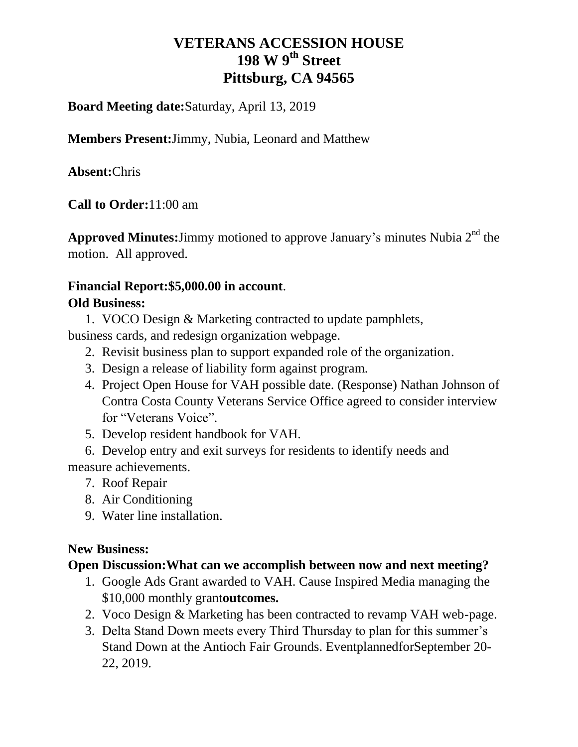# **VETERANS ACCESSION HOUSE 198 W 9th Street Pittsburg, CA 94565**

#### **Board Meeting date:**Saturday, April 13, 2019

**Members Present:**Jimmy, Nubia, Leonard and Matthew

**Absent:**Chris

**Call to Order:**11:00 am

Approved Minutes: Jimmy motioned to approve January's minutes Nubia 2<sup>nd</sup> the motion. All approved.

#### **Financial Report:\$5,000.00 in account**.

#### **Old Business:**

1. VOCO Design & Marketing contracted to update pamphlets,

business cards, and redesign organization webpage.

- 2. Revisit business plan to support expanded role of the organization.
- 3. Design a release of liability form against program.
- 4. Project Open House for VAH possible date. (Response) Nathan Johnson of Contra Costa County Veterans Service Office agreed to consider interview for "Veterans Voice".
- 5. Develop resident handbook for VAH.

6. Develop entry and exit surveys for residents to identify needs and measure achievements.

- 7. Roof Repair
- 8. Air Conditioning
- 9. Water line installation.

#### **New Business:**

#### **Open Discussion:What can we accomplish between now and next meeting?**

- 1. Google Ads Grant awarded to VAH. Cause Inspired Media managing the \$10,000 monthly grant**outcomes.**
- 2. Voco Design & Marketing has been contracted to revamp VAH web-page.
- 3. Delta Stand Down meets every Third Thursday to plan for this summer's Stand Down at the Antioch Fair Grounds. EventplannedforSeptember 20- 22, 2019.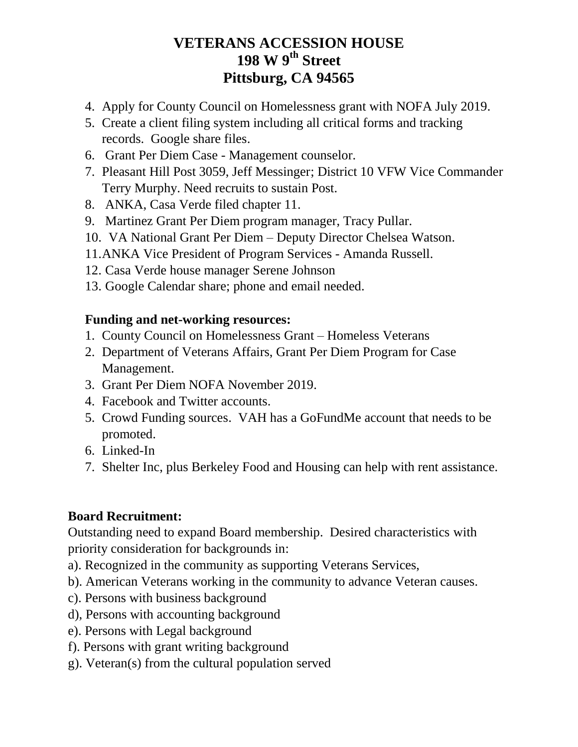# **VETERANS ACCESSION HOUSE 198 W 9th Street Pittsburg, CA 94565**

- 4. Apply for County Council on Homelessness grant with NOFA July 2019.
- 5. Create a client filing system including all critical forms and tracking records. Google share files.
- 6. Grant Per Diem Case Management counselor.
- 7. Pleasant Hill Post 3059, Jeff Messinger; District 10 VFW Vice Commander Terry Murphy. Need recruits to sustain Post.
- 8. ANKA, Casa Verde filed chapter 11.
- 9. Martinez Grant Per Diem program manager, Tracy Pullar.
- 10. VA National Grant Per Diem Deputy Director Chelsea Watson.
- 11.ANKA Vice President of Program Services Amanda Russell.
- 12. Casa Verde house manager Serene Johnson
- 13. Google Calendar share; phone and email needed.

### **Funding and net-working resources:**

- 1. County Council on Homelessness Grant Homeless Veterans
- 2. Department of Veterans Affairs, Grant Per Diem Program for Case Management.
- 3. Grant Per Diem NOFA November 2019.
- 4. Facebook and Twitter accounts.
- 5. Crowd Funding sources. VAH has a GoFundMe account that needs to be promoted.
- 6. Linked-In
- 7. Shelter Inc, plus Berkeley Food and Housing can help with rent assistance.

### **Board Recruitment:**

Outstanding need to expand Board membership. Desired characteristics with priority consideration for backgrounds in:

a). Recognized in the community as supporting Veterans Services,

- b). American Veterans working in the community to advance Veteran causes.
- c). Persons with business background
- d), Persons with accounting background
- e). Persons with Legal background
- f). Persons with grant writing background
- g). Veteran(s) from the cultural population served